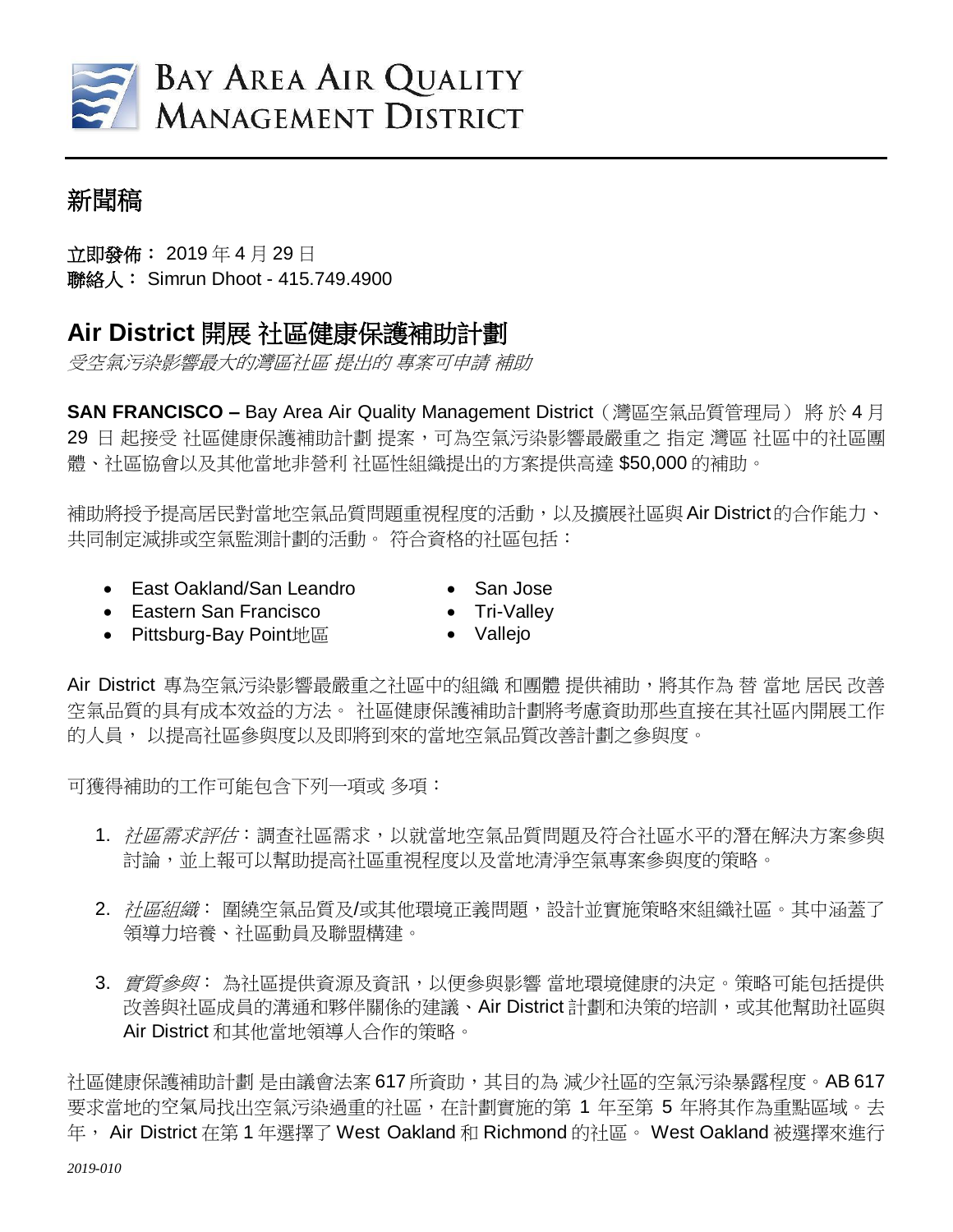

## 新聞稿

立即發佈: 2019 年 4 月 29 日 聯絡人: Simrun Dhoot - 415.749.4900

## **Air District** 開展 社區健康保護補助計劃

受空氣污染影響最大的灣區社區 提出的 專案可申請 補助

**SAN FRANCISCO** – Bay Area Air Quality Management District (灣區空氣品質管理局) 將 於 4 月 29 日 起接受 社區健康保護補助計劃 提案,可為空氣污染影響最嚴重之 指定 灣區 社區中的社區團 體、社區協會以及其他當地非營利 社區性組織提出的方案提供高達 \$50,000 的補助。

補助將授予提高居民對當地空氣品質問題重視程度的活動,以及擴展社區與 Air District的合作能力、 共同制定減排或空氣監測計劃的活動。 符合資格的社區包括:

- East Oakland/San Leandro
- Eastern San Francisco
- Pittsburg-Bay Point地區
- San Jose
- Tri-Valley
- Vallejo

Air District 專為空氣污染影響最嚴重之社區中的組織 和團體 提供補助,將其作為 替 當地 居民 改善 空氣品質的具有成本效益的方法。 社區健康保護補助計劃將考慮資助那些直接在其社區內開展工作 的人員, 以提高社區參與度以及即將到來的當地空氣品質改善計劃之參與度。

可獲得補助的工作可能包含下列一項或 多項:

- 1. 社區需求評估:調查社區需求,以就當地空氣品質問題及符合社區水平的潛在解決方案參與 討論,並上報可以幫助提高社區重視程度以及當地清淨空氣專案參與度的策略。
- 2. 社區組織: 圍繞空氣品質及/或其他環境正義問題,設計並實施策略來組織社區。其中涵蓋了 領導力培養、社區動員及聯盟構建。
- 3. *實質參與*:為社區提供資源及資訊,以便參與影響 當地環境健康的決定。策略可能包括提供 改善與社區成員的溝通和夥伴關係的建議、Air District 計劃和決策的培訓,或其他幫助社區與 Air District 和其他當地領導人合作的策略。

社區健康保護補助計劃 是由議會法案 617 所資助,其目的為 減少社區的空氣污染暴露程度。AB 617 要求當地的空氣局找出空氣污染過重的社區,在計劃實施的第 1 年至第 5 年將其作為重點區域。去 年, Air District 在第 1 年選擇了 West Oakland 和 Richmond 的社區。 West Oakland 被選擇來進行